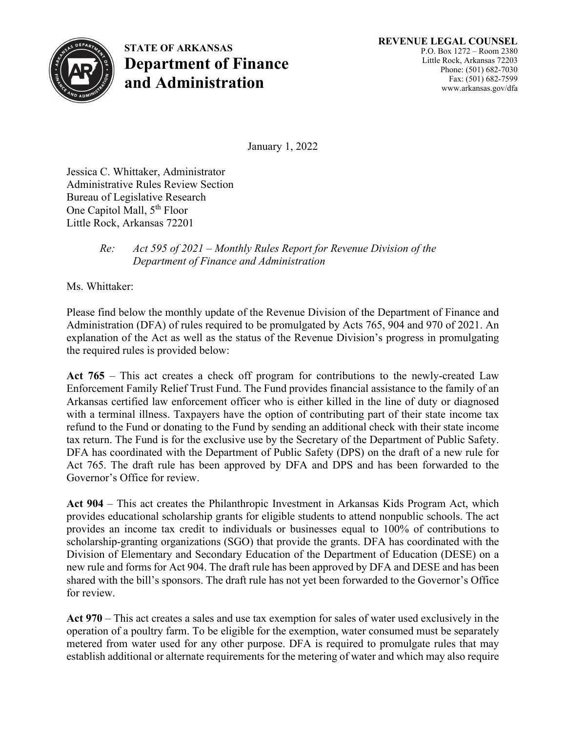

**STATE OF ARKANSAS Department of Finance and Administration**

January 1, 2022

Jessica C. Whittaker, Administrator Administrative Rules Review Section Bureau of Legislative Research One Capitol Mall, 5<sup>th</sup> Floor Little Rock, Arkansas 72201

## *Re: Act 595 of 2021 – Monthly Rules Report for Revenue Division of the Department of Finance and Administration*

Ms. Whittaker:

Please find below the monthly update of the Revenue Division of the Department of Finance and Administration (DFA) of rules required to be promulgated by Acts 765, 904 and 970 of 2021. An explanation of the Act as well as the status of the Revenue Division's progress in promulgating the required rules is provided below:

**Act 765** – This act creates a check off program for contributions to the newly-created Law Enforcement Family Relief Trust Fund. The Fund provides financial assistance to the family of an Arkansas certified law enforcement officer who is either killed in the line of duty or diagnosed with a terminal illness. Taxpayers have the option of contributing part of their state income tax refund to the Fund or donating to the Fund by sending an additional check with their state income tax return. The Fund is for the exclusive use by the Secretary of the Department of Public Safety. DFA has coordinated with the Department of Public Safety (DPS) on the draft of a new rule for Act 765. The draft rule has been approved by DFA and DPS and has been forwarded to the Governor's Office for review.

**Act 904** – This act creates the Philanthropic Investment in Arkansas Kids Program Act, which provides educational scholarship grants for eligible students to attend nonpublic schools. The act provides an income tax credit to individuals or businesses equal to 100% of contributions to scholarship-granting organizations (SGO) that provide the grants. DFA has coordinated with the Division of Elementary and Secondary Education of the Department of Education (DESE) on a new rule and forms for Act 904. The draft rule has been approved by DFA and DESE and has been shared with the bill's sponsors. The draft rule has not yet been forwarded to the Governor's Office for review.

**Act 970** – This act creates a sales and use tax exemption for sales of water used exclusively in the operation of a poultry farm. To be eligible for the exemption, water consumed must be separately metered from water used for any other purpose. DFA is required to promulgate rules that may establish additional or alternate requirements for the metering of water and which may also require